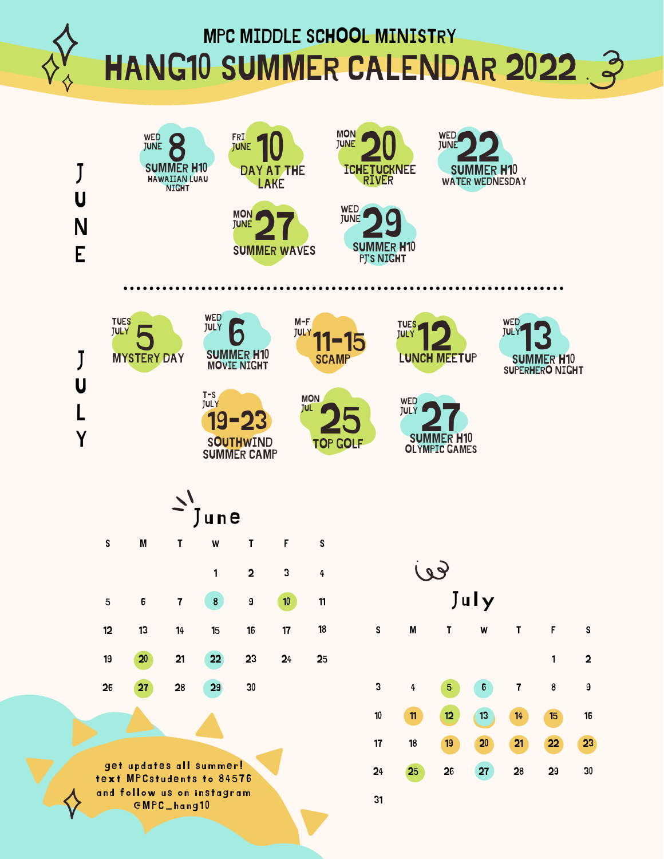MPC MIDDLE SCHOOL MINISTRY

HANG10 SUMMER CALENDAR 2022 3